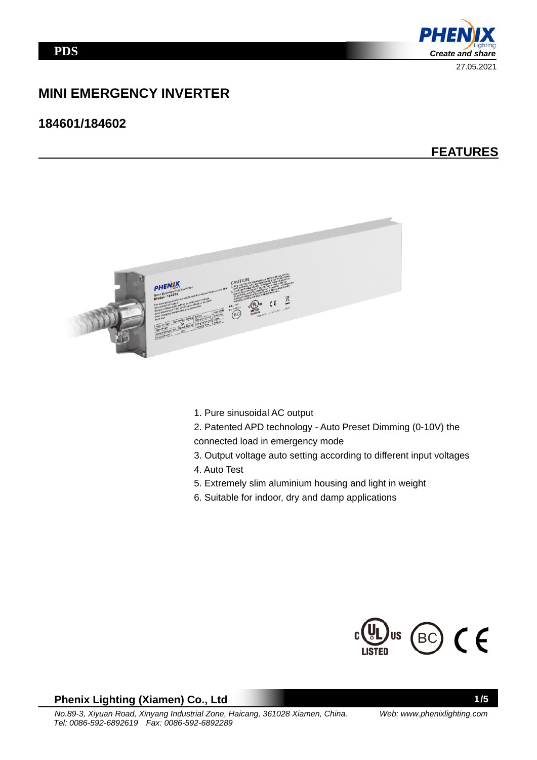

# **MINI EMERGENCY INVERTER**

## **184601/184602**

# **FEATURES**



- 1. Pure sinusoidal AC output
- 2. Patented APD technology Auto Preset Dimming (0-10V) the
- connected load in emergency mode
- 3. Output voltage auto setting according to different input voltages
- 4. Auto Test
- 5. Extremely slim aluminium housing and light in weight
- 6. Suitable for indoor, dry and damp applications



### **Phenix Lighting (Xiamen) Co., Ltd**

1/5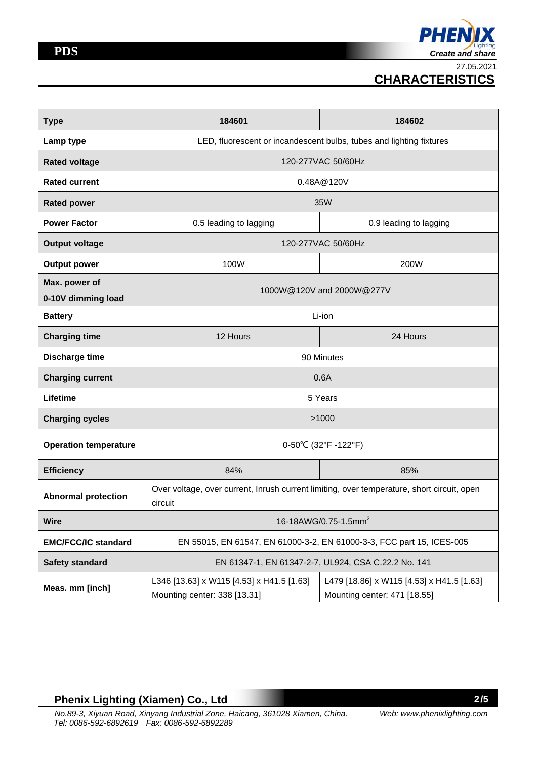27.05.2021  **CHARACTERISTICS**

| <b>Type</b>                  | 184601                                                                                                | 184602                                                                    |  |  |  |
|------------------------------|-------------------------------------------------------------------------------------------------------|---------------------------------------------------------------------------|--|--|--|
| Lamp type                    | LED, fluorescent or incandescent bulbs, tubes and lighting fixtures                                   |                                                                           |  |  |  |
| <b>Rated voltage</b>         | 120-277VAC 50/60Hz                                                                                    |                                                                           |  |  |  |
| <b>Rated current</b>         | 0.48A@120V                                                                                            |                                                                           |  |  |  |
| <b>Rated power</b>           | 35W                                                                                                   |                                                                           |  |  |  |
| <b>Power Factor</b>          | 0.5 leading to lagging<br>0.9 leading to lagging                                                      |                                                                           |  |  |  |
| <b>Output voltage</b>        | 120-277VAC 50/60Hz                                                                                    |                                                                           |  |  |  |
| <b>Output power</b>          | 100W<br>200W                                                                                          |                                                                           |  |  |  |
| Max. power of                | 1000W@120V and 2000W@277V                                                                             |                                                                           |  |  |  |
| 0-10V dimming load           |                                                                                                       |                                                                           |  |  |  |
| <b>Battery</b>               | Li-ion                                                                                                |                                                                           |  |  |  |
| <b>Charging time</b>         | 12 Hours                                                                                              | 24 Hours                                                                  |  |  |  |
| <b>Discharge time</b>        | 90 Minutes                                                                                            |                                                                           |  |  |  |
| <b>Charging current</b>      | 0.6A                                                                                                  |                                                                           |  |  |  |
| Lifetime                     | 5 Years                                                                                               |                                                                           |  |  |  |
| <b>Charging cycles</b>       | >1000                                                                                                 |                                                                           |  |  |  |
| <b>Operation temperature</b> | 0-50°C (32°F-122°F)                                                                                   |                                                                           |  |  |  |
| <b>Efficiency</b>            | 84%                                                                                                   | 85%                                                                       |  |  |  |
| <b>Abnormal protection</b>   | Over voltage, over current, Inrush current limiting, over temperature, short circuit, open<br>circuit |                                                                           |  |  |  |
| <b>Wire</b>                  | 16-18AWG/0.75-1.5mm <sup>2</sup>                                                                      |                                                                           |  |  |  |
| <b>EMC/FCC/IC standard</b>   | EN 55015, EN 61547, EN 61000-3-2, EN 61000-3-3, FCC part 15, ICES-005                                 |                                                                           |  |  |  |
| <b>Safety standard</b>       | EN 61347-1, EN 61347-2-7, UL924, CSA C.22.2 No. 141                                                   |                                                                           |  |  |  |
| Meas. mm [inch]              | L346 [13.63] x W115 [4.53] x H41.5 [1.63]<br>Mounting center: 338 [13.31]                             | L479 [18.86] x W115 [4.53] x H41.5 [1.63]<br>Mounting center: 471 [18.55] |  |  |  |

## **Phenix Lighting (Xiamen) Co., Ltd**

2/5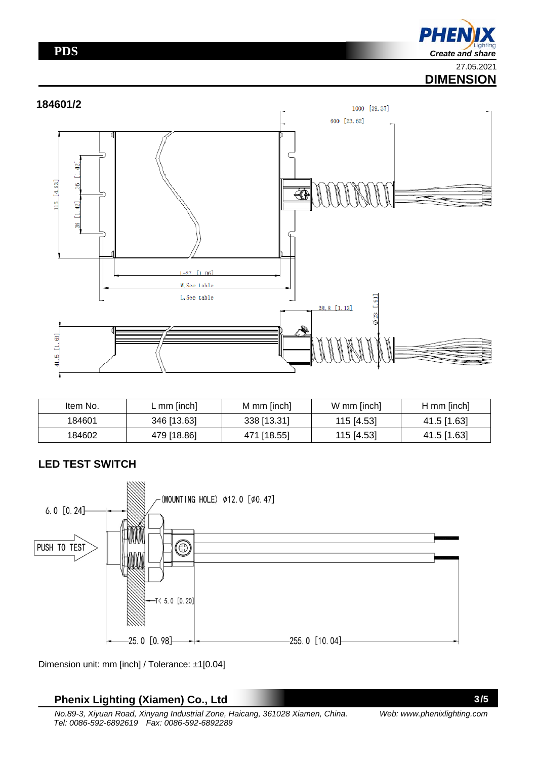## **PDS**

**PHEN** *Create and share*  27.05.2021

# **DIMENSION**



| Item No. | L mm $[inch]$ | M mm [inch] | W mm [inch] | $H$ mm [inch] |
|----------|---------------|-------------|-------------|---------------|
| 184601   | 346 [13.63]   | 338 [13.31] | 115 [4.53]  | 41.5 [1.63]   |
| 184602   | 479 [18.86]   | 471 [18.55] | 115 [4.53]  | 41.5 [1.63]   |

## **LED TEST SWITCH**



Dimension unit: mm [inch] / Tolerance: ±1[0.04]

# **Phenix Lighting (Xiamen) Co., Ltd**

*No.89-3, Xiyuan Road, Xinyang Industrial Zone, Haicang, 361028 Xiamen, China. Tel: 0086-592-6892619 Fax: 0086-592-6892289*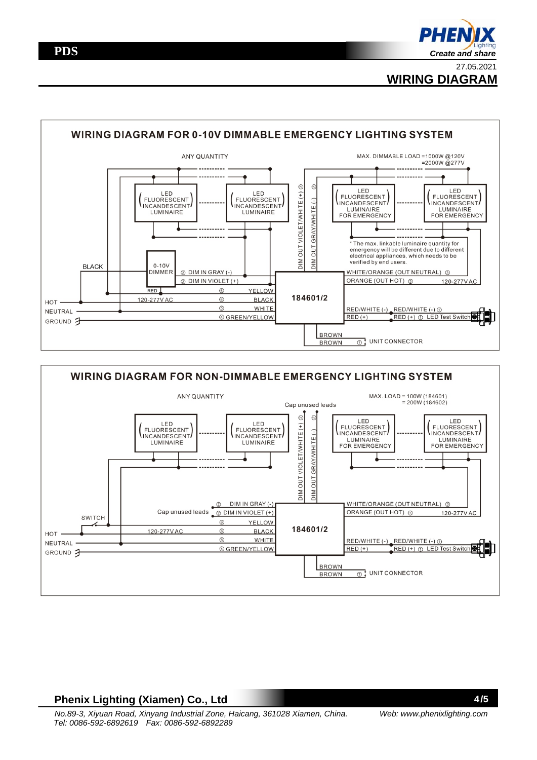**WIRING DIAGRAM**





### **Phenix Lighting (Xiamen) Co., Ltd**